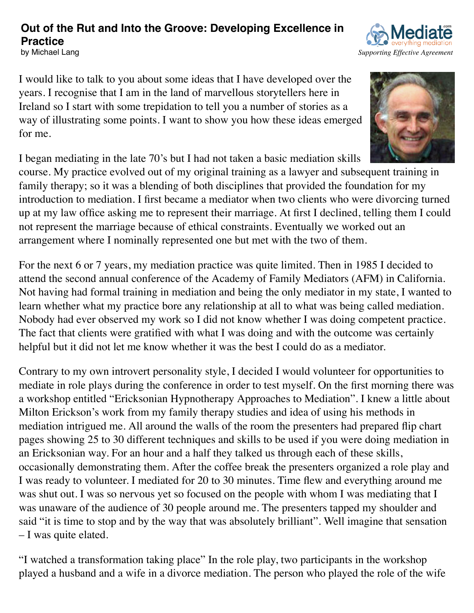#### **Out of the Rut and Into the Groove: Developing Excellence in Practice** by Michael Lang *S[upporting Effective Agreement](http://www.mediate.com/)*

I would like to talk to you about some ideas that I have developed over the years. I recognise that I am in the land of marvellous storytellers here in Ireland so I start with some trepidation to tell you a number of stories as a way of illustrating some points. I want to show you how these ideas emerged for me.

I began mediating in the late 70's but I had not taken a basic mediation skills

course. My practice evolved out of my original training as a lawyer and subsequent training in family therapy; so it was a blending of both disciplines that provided the foundation for my introduction to mediation. I first became a mediator when two clients who were divorcing turned up at my law office asking me to represent their marriage. At first I declined, telling them I could not represent the marriage because of ethical constraints. Eventually we worked out an arrangement where I nominally represented one but met with the two of them.

For the next 6 or 7 years, my mediation practice was quite limited. Then in 1985 I decided to attend the second annual conference of the Academy of Family Mediators (AFM) in California. Not having had formal training in mediation and being the only mediator in my state, I wanted to learn whether what my practice bore any relationship at all to what was being called mediation. Nobody had ever observed my work so I did not know whether I was doing competent practice. The fact that clients were gratified with what I was doing and with the outcome was certainly helpful but it did not let me know whether it was the best I could do as a mediator.

Contrary to my own introvert personality style, I decided I would volunteer for opportunities to mediate in role plays during the conference in order to test myself. On the first morning there was a workshop entitled "Ericksonian Hypnotherapy Approaches to Mediation". I knew a little about Milton Erickson's work from my family therapy studies and idea of using his methods in mediation intrigued me. All around the walls of the room the presenters had prepared flip chart pages showing 25 to 30 different techniques and skills to be used if you were doing mediation in an Ericksonian way. For an hour and a half they talked us through each of these skills, occasionally demonstrating them. After the coffee break the presenters organized a role play and I was ready to volunteer. I mediated for 20 to 30 minutes. Time flew and everything around me was shut out. I was so nervous yet so focused on the people with whom I was mediating that I was unaware of the audience of 30 people around me. The presenters tapped my shoulder and said "it is time to stop and by the way that was absolutely brilliant". Well imagine that sensation – I was quite elated.

"I watched a transformation taking place" In the role play, two participants in the workshop played a husband and a wife in a divorce mediation. The person who played the role of the wife



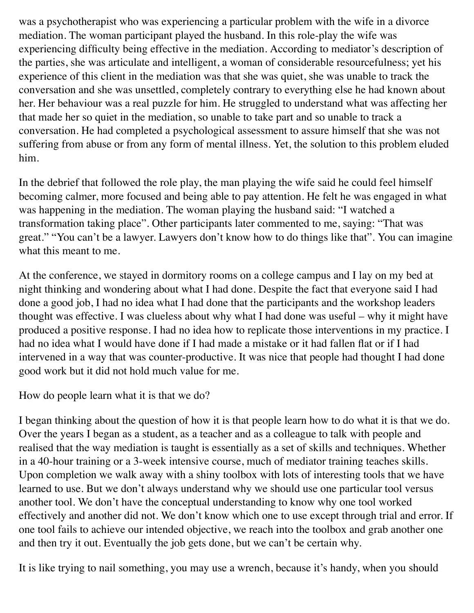was a psychotherapist who was experiencing a particular problem with the wife in a divorce mediation. The woman participant played the husband. In this role-play the wife was experiencing difficulty being effective in the mediation. According to mediator's description of the parties, she was articulate and intelligent, a woman of considerable resourcefulness; yet his experience of this client in the mediation was that she was quiet, she was unable to track the conversation and she was unsettled, completely contrary to everything else he had known about her. Her behaviour was a real puzzle for him. He struggled to understand what was affecting her that made her so quiet in the mediation, so unable to take part and so unable to track a conversation. He had completed a psychological assessment to assure himself that she was not suffering from abuse or from any form of mental illness. Yet, the solution to this problem eluded him.

In the debrief that followed the role play, the man playing the wife said he could feel himself becoming calmer, more focused and being able to pay attention. He felt he was engaged in what was happening in the mediation. The woman playing the husband said: "I watched a transformation taking place". Other participants later commented to me, saying: "That was great." "You can't be a lawyer. Lawyers don't know how to do things like that". You can imagine what this meant to me.

At the conference, we stayed in dormitory rooms on a college campus and I lay on my bed at night thinking and wondering about what I had done. Despite the fact that everyone said I had done a good job, I had no idea what I had done that the participants and the workshop leaders thought was effective. I was clueless about why what I had done was useful – why it might have produced a positive response. I had no idea how to replicate those interventions in my practice. I had no idea what I would have done if I had made a mistake or it had fallen flat or if I had intervened in a way that was counter-productive. It was nice that people had thought I had done good work but it did not hold much value for me.

How do people learn what it is that we do?

I began thinking about the question of how it is that people learn how to do what it is that we do. Over the years I began as a student, as a teacher and as a colleague to talk with people and realised that the way mediation is taught is essentially as a set of skills and techniques. Whether in a 40-hour training or a 3-week intensive course, much of mediator training teaches skills. Upon completion we walk away with a shiny toolbox with lots of interesting tools that we have learned to use. But we don't always understand why we should use one particular tool versus another tool. We don't have the conceptual understanding to know why one tool worked effectively and another did not. We don't know which one to use except through trial and error. If one tool fails to achieve our intended objective, we reach into the toolbox and grab another one and then try it out. Eventually the job gets done, but we can't be certain why.

It is like trying to nail something, you may use a wrench, because it's handy, when you should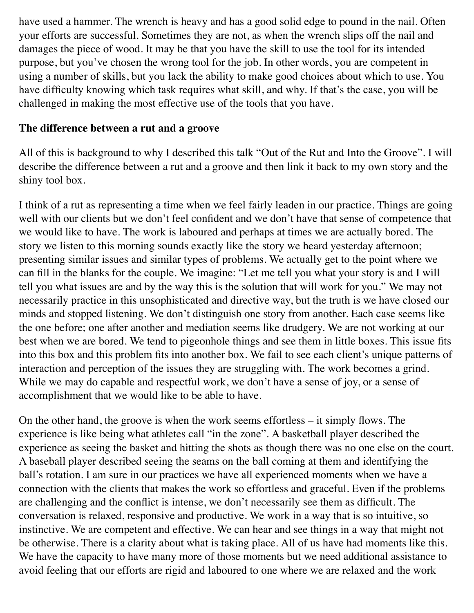have used a hammer. The wrench is heavy and has a good solid edge to pound in the nail. Often your efforts are successful. Sometimes they are not, as when the wrench slips off the nail and damages the piece of wood. It may be that you have the skill to use the tool for its intended purpose, but you've chosen the wrong tool for the job. In other words, you are competent in using a number of skills, but you lack the ability to make good choices about which to use. You have difficulty knowing which task requires what skill, and why. If that's the case, you will be challenged in making the most effective use of the tools that you have.

#### **The difference between a rut and a groove**

All of this is background to why I described this talk "Out of the Rut and Into the Groove". I will describe the difference between a rut and a groove and then link it back to my own story and the shiny tool box.

I think of a rut as representing a time when we feel fairly leaden in our practice. Things are going well with our clients but we don't feel confident and we don't have that sense of competence that we would like to have. The work is laboured and perhaps at times we are actually bored. The story we listen to this morning sounds exactly like the story we heard yesterday afternoon; presenting similar issues and similar types of problems. We actually get to the point where we can fill in the blanks for the couple. We imagine: "Let me tell you what your story is and I will tell you what issues are and by the way this is the solution that will work for you." We may not necessarily practice in this unsophisticated and directive way, but the truth is we have closed our minds and stopped listening. We don't distinguish one story from another. Each case seems like the one before; one after another and mediation seems like drudgery. We are not working at our best when we are bored. We tend to pigeonhole things and see them in little boxes. This issue fits into this box and this problem fits into another box. We fail to see each client's unique patterns of interaction and perception of the issues they are struggling with. The work becomes a grind. While we may do capable and respectful work, we don't have a sense of joy, or a sense of accomplishment that we would like to be able to have.

On the other hand, the groove is when the work seems effortless – it simply flows. The experience is like being what athletes call "in the zone". A basketball player described the experience as seeing the basket and hitting the shots as though there was no one else on the court. A baseball player described seeing the seams on the ball coming at them and identifying the ball's rotation. I am sure in our practices we have all experienced moments when we have a connection with the clients that makes the work so effortless and graceful. Even if the problems are challenging and the conflict is intense, we don't necessarily see them as difficult. The conversation is relaxed, responsive and productive. We work in a way that is so intuitive, so instinctive. We are competent and effective. We can hear and see things in a way that might not be otherwise. There is a clarity about what is taking place. All of us have had moments like this. We have the capacity to have many more of those moments but we need additional assistance to avoid feeling that our efforts are rigid and laboured to one where we are relaxed and the work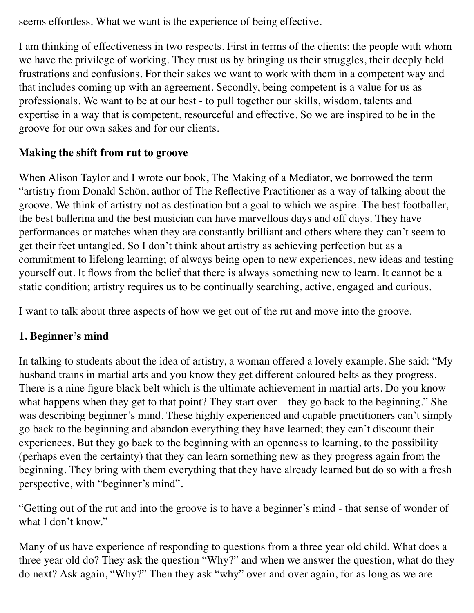seems effortless. What we want is the experience of being effective.

I am thinking of effectiveness in two respects. First in terms of the clients: the people with whom we have the privilege of working. They trust us by bringing us their struggles, their deeply held frustrations and confusions. For their sakes we want to work with them in a competent way and that includes coming up with an agreement. Secondly, being competent is a value for us as professionals. We want to be at our best - to pull together our skills, wisdom, talents and expertise in a way that is competent, resourceful and effective. So we are inspired to be in the groove for our own sakes and for our clients.

# **Making the shift from rut to groove**

When Alison Taylor and I wrote our book, The Making of a Mediator, we borrowed the term "artistry from Donald Schön, author of The Reflective Practitioner as a way of talking about the groove. We think of artistry not as destination but a goal to which we aspire. The best footballer, the best ballerina and the best musician can have marvellous days and off days. They have performances or matches when they are constantly brilliant and others where they can't seem to get their feet untangled. So I don't think about artistry as achieving perfection but as a commitment to lifelong learning; of always being open to new experiences, new ideas and testing yourself out. It flows from the belief that there is always something new to learn. It cannot be a static condition; artistry requires us to be continually searching, active, engaged and curious.

I want to talk about three aspects of how we get out of the rut and move into the groove.

## **1. Beginner's mind**

In talking to students about the idea of artistry, a woman offered a lovely example. She said: "My husband trains in martial arts and you know they get different coloured belts as they progress. There is a nine figure black belt which is the ultimate achievement in martial arts. Do you know what happens when they get to that point? They start over – they go back to the beginning." She was describing beginner's mind. These highly experienced and capable practitioners can't simply go back to the beginning and abandon everything they have learned; they can't discount their experiences. But they go back to the beginning with an openness to learning, to the possibility (perhaps even the certainty) that they can learn something new as they progress again from the beginning. They bring with them everything that they have already learned but do so with a fresh perspective, with "beginner's mind".

"Getting out of the rut and into the groove is to have a beginner's mind - that sense of wonder of what I don't know."

Many of us have experience of responding to questions from a three year old child. What does a three year old do? They ask the question "Why?" and when we answer the question, what do they do next? Ask again, "Why?" Then they ask "why" over and over again, for as long as we are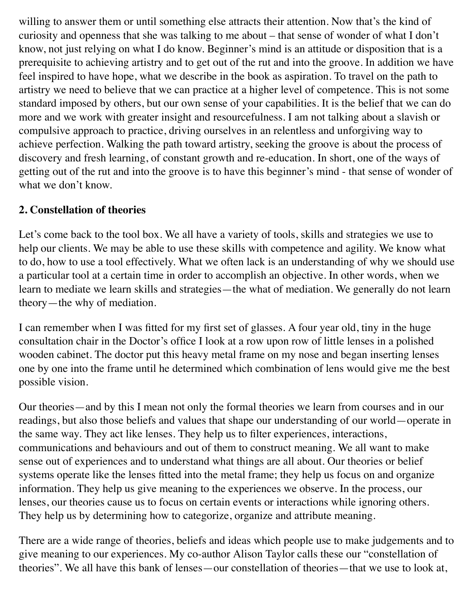willing to answer them or until something else attracts their attention. Now that's the kind of curiosity and openness that she was talking to me about – that sense of wonder of what I don't know, not just relying on what I do know. Beginner's mind is an attitude or disposition that is a prerequisite to achieving artistry and to get out of the rut and into the groove. In addition we have feel inspired to have hope, what we describe in the book as aspiration. To travel on the path to artistry we need to believe that we can practice at a higher level of competence. This is not some standard imposed by others, but our own sense of your capabilities. It is the belief that we can do more and we work with greater insight and resourcefulness. I am not talking about a slavish or compulsive approach to practice, driving ourselves in an relentless and unforgiving way to achieve perfection. Walking the path toward artistry, seeking the groove is about the process of discovery and fresh learning, of constant growth and re-education. In short, one of the ways of getting out of the rut and into the groove is to have this beginner's mind - that sense of wonder of what we don't know.

### **2. Constellation of theories**

Let's come back to the tool box. We all have a variety of tools, skills and strategies we use to help our clients. We may be able to use these skills with competence and agility. We know what to do, how to use a tool effectively. What we often lack is an understanding of why we should use a particular tool at a certain time in order to accomplish an objective. In other words, when we learn to mediate we learn skills and strategies—the what of mediation. We generally do not learn theory—the why of mediation.

I can remember when I was fitted for my first set of glasses. A four year old, tiny in the huge consultation chair in the Doctor's office I look at a row upon row of little lenses in a polished wooden cabinet. The doctor put this heavy metal frame on my nose and began inserting lenses one by one into the frame until he determined which combination of lens would give me the best possible vision.

Our theories—and by this I mean not only the formal theories we learn from courses and in our readings, but also those beliefs and values that shape our understanding of our world—operate in the same way. They act like lenses. They help us to filter experiences, interactions, communications and behaviours and out of them to construct meaning. We all want to make sense out of experiences and to understand what things are all about. Our theories or belief systems operate like the lenses fitted into the metal frame; they help us focus on and organize information. They help us give meaning to the experiences we observe. In the process, our lenses, our theories cause us to focus on certain events or interactions while ignoring others. They help us by determining how to categorize, organize and attribute meaning.

There are a wide range of theories, beliefs and ideas which people use to make judgements and to give meaning to our experiences. My co-author Alison Taylor calls these our "constellation of theories". We all have this bank of lenses—our constellation of theories—that we use to look at,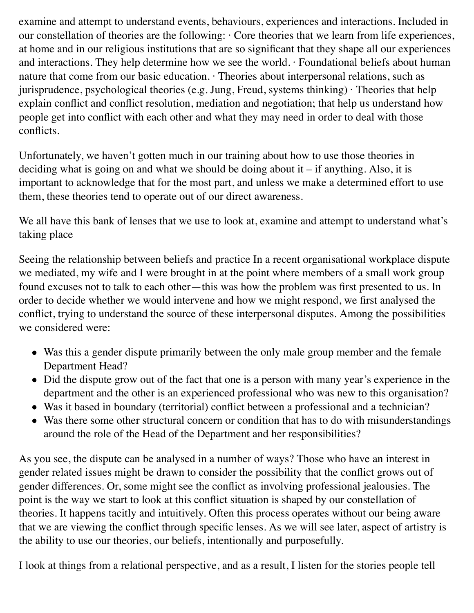examine and attempt to understand events, behaviours, experiences and interactions. Included in our constellation of theories are the following: · Core theories that we learn from life experiences, at home and in our religious institutions that are so significant that they shape all our experiences and interactions. They help determine how we see the world. · Foundational beliefs about human nature that come from our basic education. · Theories about interpersonal relations, such as jurisprudence, psychological theories (e.g. Jung, Freud, systems thinking) · Theories that help explain conflict and conflict resolution, mediation and negotiation; that help us understand how people get into conflict with each other and what they may need in order to deal with those conflicts.

Unfortunately, we haven't gotten much in our training about how to use those theories in deciding what is going on and what we should be doing about it  $-$  if anything. Also, it is important to acknowledge that for the most part, and unless we make a determined effort to use them, these theories tend to operate out of our direct awareness.

We all have this bank of lenses that we use to look at, examine and attempt to understand what's taking place

Seeing the relationship between beliefs and practice In a recent organisational workplace dispute we mediated, my wife and I were brought in at the point where members of a small work group found excuses not to talk to each other—this was how the problem was first presented to us. In order to decide whether we would intervene and how we might respond, we first analysed the conflict, trying to understand the source of these interpersonal disputes. Among the possibilities we considered were:

- Was this a gender dispute primarily between the only male group member and the female Department Head?
- Did the dispute grow out of the fact that one is a person with many year's experience in the department and the other is an experienced professional who was new to this organisation?
- Was it based in boundary (territorial) conflict between a professional and a technician?
- Was there some other structural concern or condition that has to do with misunderstandings around the role of the Head of the Department and her responsibilities?

As you see, the dispute can be analysed in a number of ways? Those who have an interest in gender related issues might be drawn to consider the possibility that the conflict grows out of gender differences. Or, some might see the conflict as involving professional jealousies. The point is the way we start to look at this conflict situation is shaped by our constellation of theories. It happens tacitly and intuitively. Often this process operates without our being aware that we are viewing the conflict through specific lenses. As we will see later, aspect of artistry is the ability to use our theories, our beliefs, intentionally and purposefully.

I look at things from a relational perspective, and as a result, I listen for the stories people tell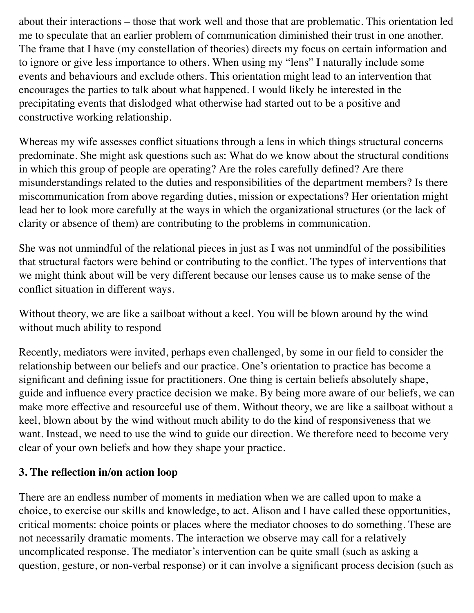about their interactions – those that work well and those that are problematic. This orientation led me to speculate that an earlier problem of communication diminished their trust in one another. The frame that I have (my constellation of theories) directs my focus on certain information and to ignore or give less importance to others. When using my "lens" I naturally include some events and behaviours and exclude others. This orientation might lead to an intervention that encourages the parties to talk about what happened. I would likely be interested in the precipitating events that dislodged what otherwise had started out to be a positive and constructive working relationship.

Whereas my wife assesses conflict situations through a lens in which things structural concerns predominate. She might ask questions such as: What do we know about the structural conditions in which this group of people are operating? Are the roles carefully defined? Are there misunderstandings related to the duties and responsibilities of the department members? Is there miscommunication from above regarding duties, mission or expectations? Her orientation might lead her to look more carefully at the ways in which the organizational structures (or the lack of clarity or absence of them) are contributing to the problems in communication.

She was not unmindful of the relational pieces in just as I was not unmindful of the possibilities that structural factors were behind or contributing to the conflict. The types of interventions that we might think about will be very different because our lenses cause us to make sense of the conflict situation in different ways.

Without theory, we are like a sailboat without a keel. You will be blown around by the wind without much ability to respond

Recently, mediators were invited, perhaps even challenged, by some in our field to consider the relationship between our beliefs and our practice. One's orientation to practice has become a significant and defining issue for practitioners. One thing is certain beliefs absolutely shape, guide and influence every practice decision we make. By being more aware of our beliefs, we can make more effective and resourceful use of them. Without theory, we are like a sailboat without a keel, blown about by the wind without much ability to do the kind of responsiveness that we want. Instead, we need to use the wind to guide our direction. We therefore need to become very clear of your own beliefs and how they shape your practice.

### **3. The reflection in/on action loop**

There are an endless number of moments in mediation when we are called upon to make a choice, to exercise our skills and knowledge, to act. Alison and I have called these opportunities, critical moments: choice points or places where the mediator chooses to do something. These are not necessarily dramatic moments. The interaction we observe may call for a relatively uncomplicated response. The mediator's intervention can be quite small (such as asking a question, gesture, or non-verbal response) or it can involve a significant process decision (such as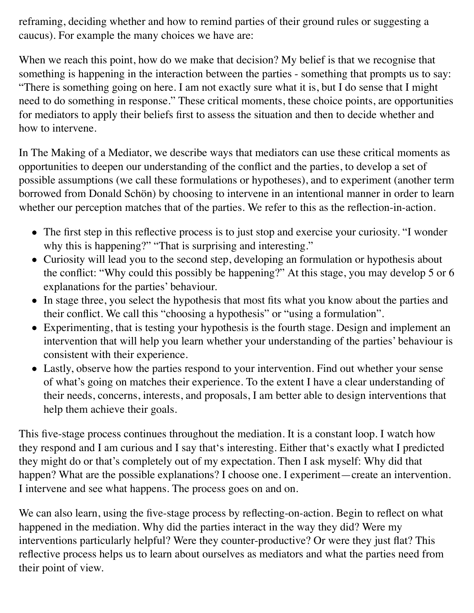reframing, deciding whether and how to remind parties of their ground rules or suggesting a caucus). For example the many choices we have are:

When we reach this point, how do we make that decision? My belief is that we recognise that something is happening in the interaction between the parties - something that prompts us to say: "There is something going on here. I am not exactly sure what it is, but I do sense that I might need to do something in response." These critical moments, these choice points, are opportunities for mediators to apply their beliefs first to assess the situation and then to decide whether and how to intervene.

In The Making of a Mediator, we describe ways that mediators can use these critical moments as opportunities to deepen our understanding of the conflict and the parties, to develop a set of possible assumptions (we call these formulations or hypotheses), and to experiment (another term borrowed from Donald Schön) by choosing to intervene in an intentional manner in order to learn whether our perception matches that of the parties. We refer to this as the reflection-in-action.

- The first step in this reflective process is to just stop and exercise your curiosity. "I wonder why this is happening?" "That is surprising and interesting."
- Curiosity will lead you to the second step, developing an formulation or hypothesis about the conflict: "Why could this possibly be happening?" At this stage, you may develop 5 or 6 explanations for the parties' behaviour.
- In stage three, you select the hypothesis that most fits what you know about the parties and their conflict. We call this "choosing a hypothesis" or "using a formulation".
- Experimenting, that is testing your hypothesis is the fourth stage. Design and implement an intervention that will help you learn whether your understanding of the parties' behaviour is consistent with their experience.
- Lastly, observe how the parties respond to your intervention. Find out whether your sense of what's going on matches their experience. To the extent I have a clear understanding of their needs, concerns, interests, and proposals, I am better able to design interventions that help them achieve their goals.

This five-stage process continues throughout the mediation. It is a constant loop. I watch how they respond and I am curious and I say that's interesting. Either that's exactly what I predicted they might do or that's completely out of my expectation. Then I ask myself: Why did that happen? What are the possible explanations? I choose one. I experiment—create an intervention. I intervene and see what happens. The process goes on and on.

We can also learn, using the five-stage process by reflecting-on-action. Begin to reflect on what happened in the mediation. Why did the parties interact in the way they did? Were my interventions particularly helpful? Were they counter-productive? Or were they just flat? This reflective process helps us to learn about ourselves as mediators and what the parties need from their point of view.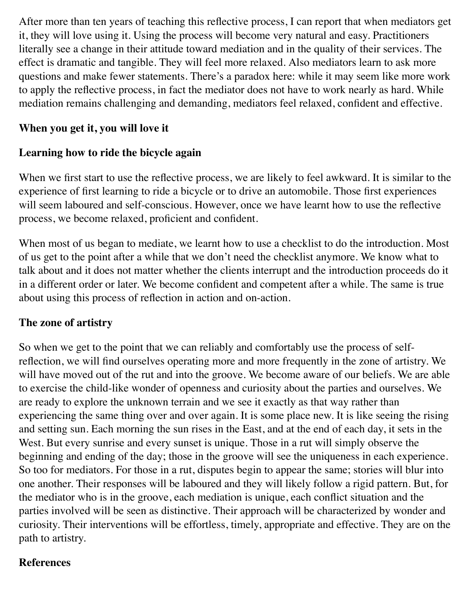After more than ten years of teaching this reflective process, I can report that when mediators get it, they will love using it. Using the process will become very natural and easy. Practitioners literally see a change in their attitude toward mediation and in the quality of their services. The effect is dramatic and tangible. They will feel more relaxed. Also mediators learn to ask more questions and make fewer statements. There's a paradox here: while it may seem like more work to apply the reflective process, in fact the mediator does not have to work nearly as hard. While mediation remains challenging and demanding, mediators feel relaxed, confident and effective.

## **When you get it, you will love it**

## **Learning how to ride the bicycle again**

When we first start to use the reflective process, we are likely to feel awkward. It is similar to the experience of first learning to ride a bicycle or to drive an automobile. Those first experiences will seem laboured and self-conscious. However, once we have learnt how to use the reflective process, we become relaxed, proficient and confident.

When most of us began to mediate, we learnt how to use a checklist to do the introduction. Most of us get to the point after a while that we don't need the checklist anymore. We know what to talk about and it does not matter whether the clients interrupt and the introduction proceeds do it in a different order or later. We become confident and competent after a while. The same is true about using this process of reflection in action and on-action.

## **The zone of artistry**

So when we get to the point that we can reliably and comfortably use the process of selfreflection, we will find ourselves operating more and more frequently in the zone of artistry. We will have moved out of the rut and into the groove. We become aware of our beliefs. We are able to exercise the child-like wonder of openness and curiosity about the parties and ourselves. We are ready to explore the unknown terrain and we see it exactly as that way rather than experiencing the same thing over and over again. It is some place new. It is like seeing the rising and setting sun. Each morning the sun rises in the East, and at the end of each day, it sets in the West. But every sunrise and every sunset is unique. Those in a rut will simply observe the beginning and ending of the day; those in the groove will see the uniqueness in each experience. So too for mediators. For those in a rut, disputes begin to appear the same; stories will blur into one another. Their responses will be laboured and they will likely follow a rigid pattern. But, for the mediator who is in the groove, each mediation is unique, each conflict situation and the parties involved will be seen as distinctive. Their approach will be characterized by wonder and curiosity. Their interventions will be effortless, timely, appropriate and effective. They are on the path to artistry.

### **References**